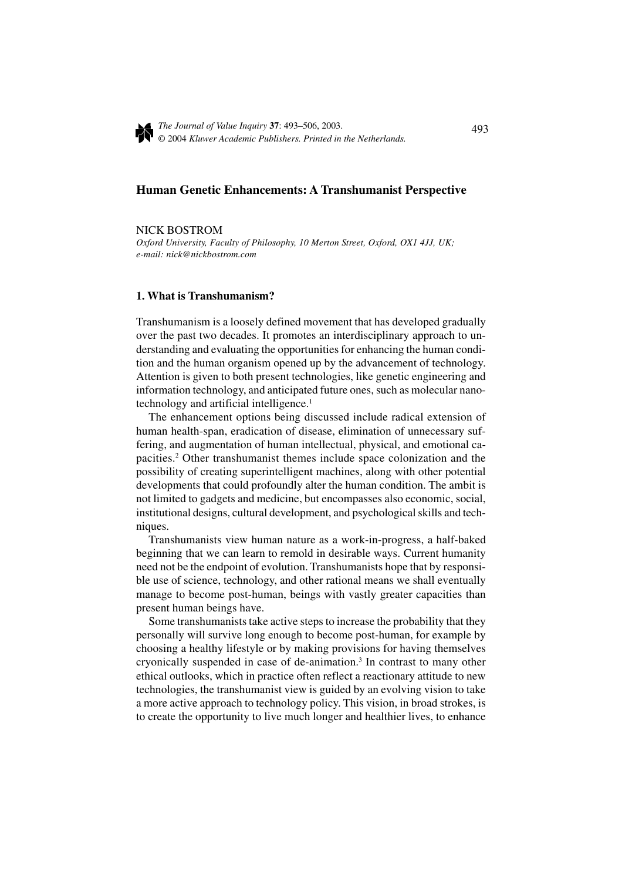*Human General of Value Inquiry 37: 493–506, 2003. 493* © 2004 *Kluwer Academic Publishers. Printed in the Netherlands.*

# **Human Genetic Enhancements: A Transhumanist Perspective**

# NICK BOSTROM

*Oxford University, Faculty of Philosophy, 10 Merton Street, Oxford, OX1 4JJ, UK; e-mail: nick@nickbostrom.com*

# **1. What is Transhumanism?**

Transhumanism is a loosely defined movement that has developed gradually over the past two decades. It promotes an interdisciplinary approach to understanding and evaluating the opportunities for enhancing the human condition and the human organism opened up by the advancement of technology. Attention is given to both present technologies, like genetic engineering and information technology, and anticipated future ones, such as molecular nanotechnology and artificial intelligence.<sup>1</sup>

The enhancement options being discussed include radical extension of human health-span, eradication of disease, elimination of unnecessary suffering, and augmentation of human intellectual, physical, and emotional capacities.2 Other transhumanist themes include space colonization and the possibility of creating superintelligent machines, along with other potential developments that could profoundly alter the human condition. The ambit is not limited to gadgets and medicine, but encompasses also economic, social, institutional designs, cultural development, and psychological skills and techniques.

Transhumanists view human nature as a work-in-progress, a half-baked beginning that we can learn to remold in desirable ways. Current humanity need not be the endpoint of evolution. Transhumanists hope that by responsible use of science, technology, and other rational means we shall eventually manage to become post-human, beings with vastly greater capacities than present human beings have.

Some transhumanists take active steps to increase the probability that they personally will survive long enough to become post-human, for example by choosing a healthy lifestyle or by making provisions for having themselves cryonically suspended in case of de-animation.<sup>3</sup> In contrast to many other ethical outlooks, which in practice often reflect a reactionary attitude to new technologies, the transhumanist view is guided by an evolving vision to take a more active approach to technology policy. This vision, in broad strokes, is to create the opportunity to live much longer and healthier lives, to enhance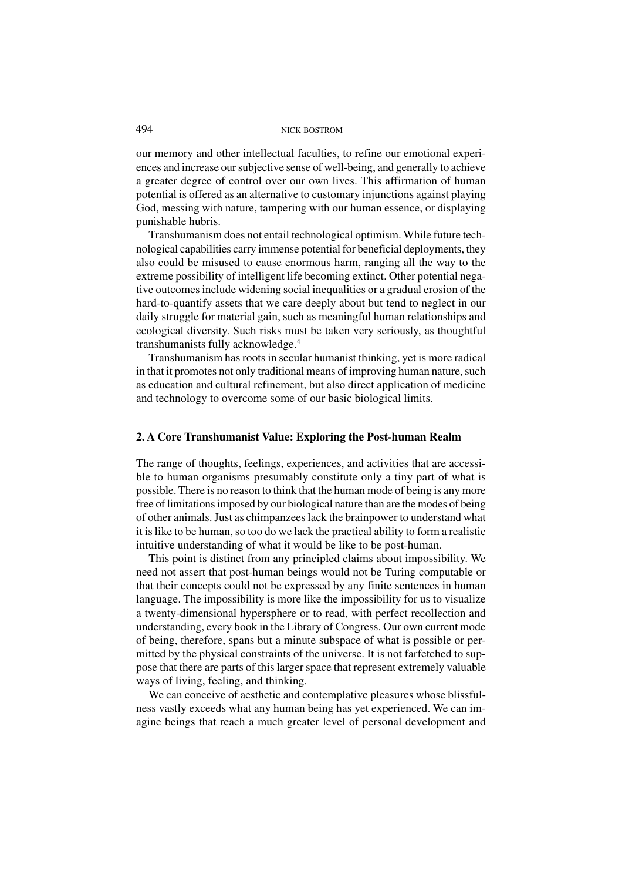our memory and other intellectual faculties, to refine our emotional experiences and increase our subjective sense of well-being, and generally to achieve a greater degree of control over our own lives. This affirmation of human potential is offered as an alternative to customary injunctions against playing God, messing with nature, tampering with our human essence, or displaying punishable hubris.

Transhumanism does not entail technological optimism. While future technological capabilities carry immense potential for beneficial deployments, they also could be misused to cause enormous harm, ranging all the way to the extreme possibility of intelligent life becoming extinct. Other potential negative outcomes include widening social inequalities or a gradual erosion of the hard-to-quantify assets that we care deeply about but tend to neglect in our daily struggle for material gain, such as meaningful human relationships and ecological diversity. Such risks must be taken very seriously, as thoughtful transhumanists fully acknowledge.4

Transhumanism has roots in secular humanist thinking, yet is more radical in that it promotes not only traditional means of improving human nature, such as education and cultural refinement, but also direct application of medicine and technology to overcome some of our basic biological limits.

# **2. A Core Transhumanist Value: Exploring the Post-human Realm**

The range of thoughts, feelings, experiences, and activities that are accessible to human organisms presumably constitute only a tiny part of what is possible. There is no reason to think that the human mode of being is any more free of limitations imposed by our biological nature than are the modes of being of other animals. Just as chimpanzees lack the brainpower to understand what it is like to be human, so too do we lack the practical ability to form a realistic intuitive understanding of what it would be like to be post-human.

This point is distinct from any principled claims about impossibility. We need not assert that post-human beings would not be Turing computable or that their concepts could not be expressed by any finite sentences in human language. The impossibility is more like the impossibility for us to visualize a twenty-dimensional hypersphere or to read, with perfect recollection and understanding, every book in the Library of Congress. Our own current mode of being, therefore, spans but a minute subspace of what is possible or permitted by the physical constraints of the universe. It is not farfetched to suppose that there are parts of this larger space that represent extremely valuable ways of living, feeling, and thinking.

We can conceive of aesthetic and contemplative pleasures whose blissfulness vastly exceeds what any human being has yet experienced. We can imagine beings that reach a much greater level of personal development and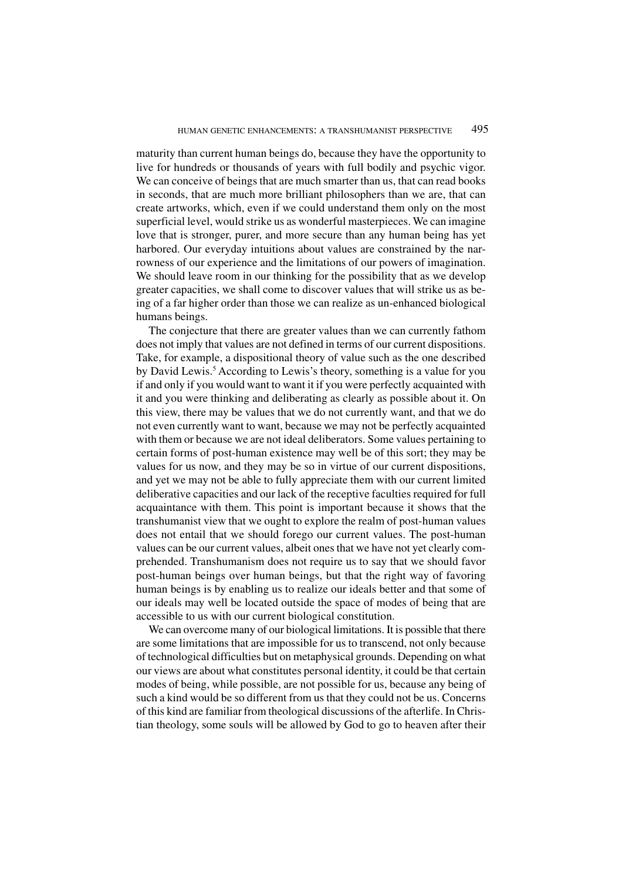maturity than current human beings do, because they have the opportunity to live for hundreds or thousands of years with full bodily and psychic vigor. We can conceive of beings that are much smarter than us, that can read books in seconds, that are much more brilliant philosophers than we are, that can create artworks, which, even if we could understand them only on the most superficial level, would strike us as wonderful masterpieces. We can imagine love that is stronger, purer, and more secure than any human being has yet harbored. Our everyday intuitions about values are constrained by the narrowness of our experience and the limitations of our powers of imagination. We should leave room in our thinking for the possibility that as we develop greater capacities, we shall come to discover values that will strike us as being of a far higher order than those we can realize as un-enhanced biological humans beings.

The conjecture that there are greater values than we can currently fathom does not imply that values are not defined in terms of our current dispositions. Take, for example, a dispositional theory of value such as the one described by David Lewis.<sup>5</sup> According to Lewis's theory, something is a value for you if and only if you would want to want it if you were perfectly acquainted with it and you were thinking and deliberating as clearly as possible about it. On this view, there may be values that we do not currently want, and that we do not even currently want to want, because we may not be perfectly acquainted with them or because we are not ideal deliberators. Some values pertaining to certain forms of post-human existence may well be of this sort; they may be values for us now, and they may be so in virtue of our current dispositions, and yet we may not be able to fully appreciate them with our current limited deliberative capacities and our lack of the receptive faculties required for full acquaintance with them. This point is important because it shows that the transhumanist view that we ought to explore the realm of post-human values does not entail that we should forego our current values. The post-human values can be our current values, albeit ones that we have not yet clearly comprehended. Transhumanism does not require us to say that we should favor post-human beings over human beings, but that the right way of favoring human beings is by enabling us to realize our ideals better and that some of our ideals may well be located outside the space of modes of being that are accessible to us with our current biological constitution.

We can overcome many of our biological limitations. It is possible that there are some limitations that are impossible for us to transcend, not only because of technological difficulties but on metaphysical grounds. Depending on what our views are about what constitutes personal identity, it could be that certain modes of being, while possible, are not possible for us, because any being of such a kind would be so different from us that they could not be us. Concerns of this kind are familiar from theological discussions of the afterlife. In Christian theology, some souls will be allowed by God to go to heaven after their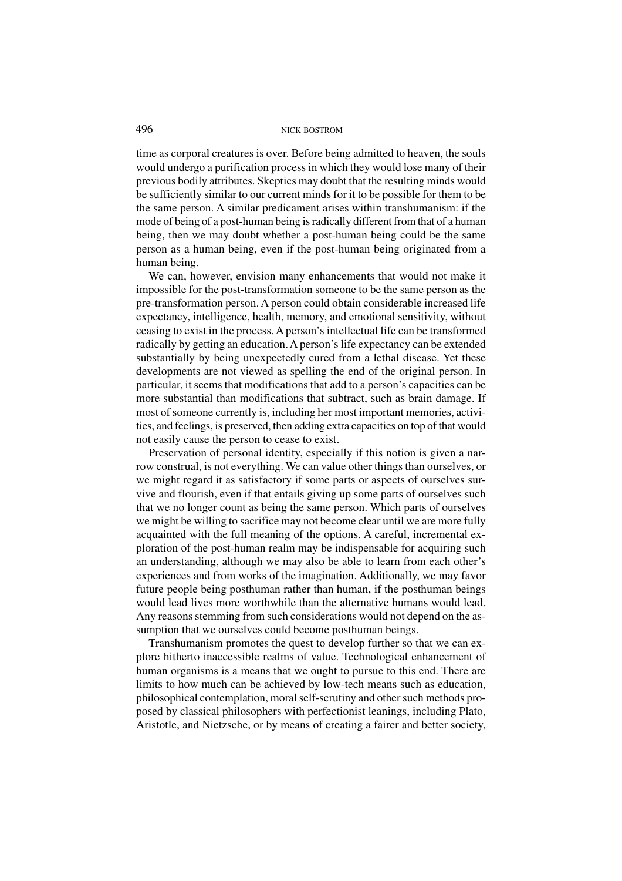time as corporal creatures is over. Before being admitted to heaven, the souls would undergo a purification process in which they would lose many of their previous bodily attributes. Skeptics may doubt that the resulting minds would be sufficiently similar to our current minds for it to be possible for them to be the same person. A similar predicament arises within transhumanism: if the mode of being of a post-human being is radically different from that of a human being, then we may doubt whether a post-human being could be the same person as a human being, even if the post-human being originated from a human being.

We can, however, envision many enhancements that would not make it impossible for the post-transformation someone to be the same person as the pre-transformation person. A person could obtain considerable increased life expectancy, intelligence, health, memory, and emotional sensitivity, without ceasing to exist in the process. A person's intellectual life can be transformed radically by getting an education. A person's life expectancy can be extended substantially by being unexpectedly cured from a lethal disease. Yet these developments are not viewed as spelling the end of the original person. In particular, it seems that modifications that add to a person's capacities can be more substantial than modifications that subtract, such as brain damage. If most of someone currently is, including her most important memories, activities, and feelings, is preserved, then adding extra capacities on top of that would not easily cause the person to cease to exist.

Preservation of personal identity, especially if this notion is given a narrow construal, is not everything. We can value other things than ourselves, or we might regard it as satisfactory if some parts or aspects of ourselves survive and flourish, even if that entails giving up some parts of ourselves such that we no longer count as being the same person. Which parts of ourselves we might be willing to sacrifice may not become clear until we are more fully acquainted with the full meaning of the options. A careful, incremental exploration of the post-human realm may be indispensable for acquiring such an understanding, although we may also be able to learn from each other's experiences and from works of the imagination. Additionally, we may favor future people being posthuman rather than human, if the posthuman beings would lead lives more worthwhile than the alternative humans would lead. Any reasons stemming from such considerations would not depend on the assumption that we ourselves could become posthuman beings.

Transhumanism promotes the quest to develop further so that we can explore hitherto inaccessible realms of value. Technological enhancement of human organisms is a means that we ought to pursue to this end. There are limits to how much can be achieved by low-tech means such as education, philosophical contemplation, moral self-scrutiny and other such methods proposed by classical philosophers with perfectionist leanings, including Plato, Aristotle, and Nietzsche, or by means of creating a fairer and better society,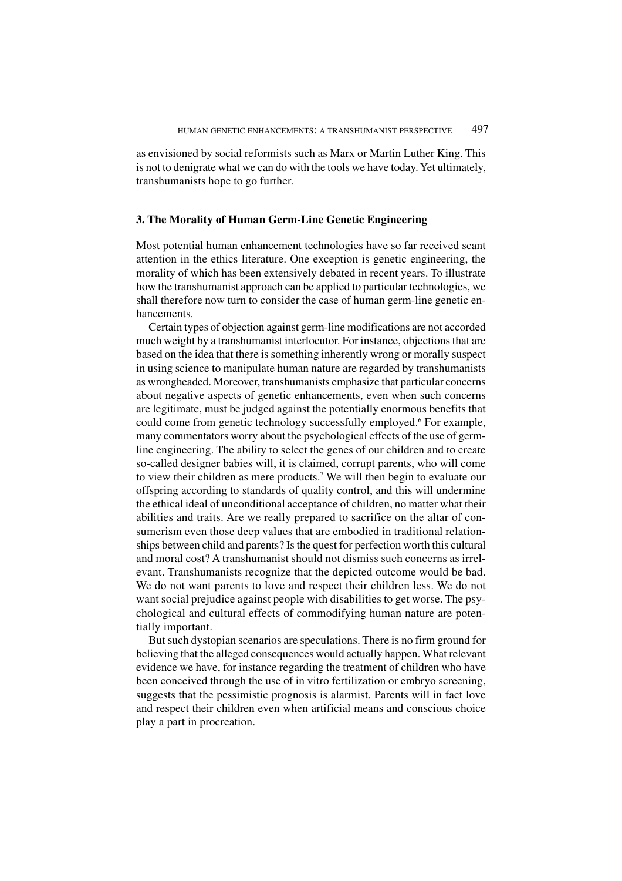as envisioned by social reformists such as Marx or Martin Luther King. This is not to denigrate what we can do with the tools we have today. Yet ultimately, transhumanists hope to go further.

# **3. The Morality of Human Germ-Line Genetic Engineering**

Most potential human enhancement technologies have so far received scant attention in the ethics literature. One exception is genetic engineering, the morality of which has been extensively debated in recent years. To illustrate how the transhumanist approach can be applied to particular technologies, we shall therefore now turn to consider the case of human germ-line genetic enhancements.

Certain types of objection against germ-line modifications are not accorded much weight by a transhumanist interlocutor. For instance, objections that are based on the idea that there is something inherently wrong or morally suspect in using science to manipulate human nature are regarded by transhumanists as wrongheaded. Moreover, transhumanists emphasize that particular concerns about negative aspects of genetic enhancements, even when such concerns are legitimate, must be judged against the potentially enormous benefits that could come from genetic technology successfully employed.<sup>6</sup> For example, many commentators worry about the psychological effects of the use of germline engineering. The ability to select the genes of our children and to create so-called designer babies will, it is claimed, corrupt parents, who will come to view their children as mere products.7 We will then begin to evaluate our offspring according to standards of quality control, and this will undermine the ethical ideal of unconditional acceptance of children, no matter what their abilities and traits. Are we really prepared to sacrifice on the altar of consumerism even those deep values that are embodied in traditional relationships between child and parents? Is the quest for perfection worth this cultural and moral cost? A transhumanist should not dismiss such concerns as irrelevant. Transhumanists recognize that the depicted outcome would be bad. We do not want parents to love and respect their children less. We do not want social prejudice against people with disabilities to get worse. The psychological and cultural effects of commodifying human nature are potentially important.

But such dystopian scenarios are speculations. There is no firm ground for believing that the alleged consequences would actually happen. What relevant evidence we have, for instance regarding the treatment of children who have been conceived through the use of in vitro fertilization or embryo screening, suggests that the pessimistic prognosis is alarmist. Parents will in fact love and respect their children even when artificial means and conscious choice play a part in procreation.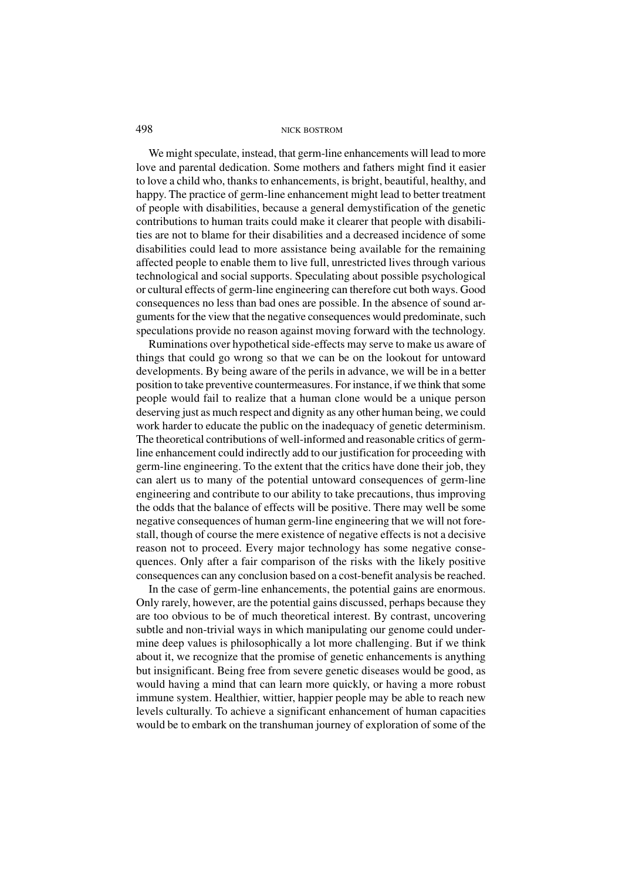We might speculate, instead, that germ-line enhancements will lead to more love and parental dedication. Some mothers and fathers might find it easier to love a child who, thanks to enhancements, is bright, beautiful, healthy, and happy. The practice of germ-line enhancement might lead to better treatment of people with disabilities, because a general demystification of the genetic contributions to human traits could make it clearer that people with disabilities are not to blame for their disabilities and a decreased incidence of some disabilities could lead to more assistance being available for the remaining affected people to enable them to live full, unrestricted lives through various technological and social supports. Speculating about possible psychological or cultural effects of germ-line engineering can therefore cut both ways. Good consequences no less than bad ones are possible. In the absence of sound arguments for the view that the negative consequences would predominate, such speculations provide no reason against moving forward with the technology.

Ruminations over hypothetical side-effects may serve to make us aware of things that could go wrong so that we can be on the lookout for untoward developments. By being aware of the perils in advance, we will be in a better position to take preventive countermeasures. For instance, if we think that some people would fail to realize that a human clone would be a unique person deserving just as much respect and dignity as any other human being, we could work harder to educate the public on the inadequacy of genetic determinism. The theoretical contributions of well-informed and reasonable critics of germline enhancement could indirectly add to our justification for proceeding with germ-line engineering. To the extent that the critics have done their job, they can alert us to many of the potential untoward consequences of germ-line engineering and contribute to our ability to take precautions, thus improving the odds that the balance of effects will be positive. There may well be some negative consequences of human germ-line engineering that we will not forestall, though of course the mere existence of negative effects is not a decisive reason not to proceed. Every major technology has some negative consequences. Only after a fair comparison of the risks with the likely positive consequences can any conclusion based on a cost-benefit analysis be reached.

In the case of germ-line enhancements, the potential gains are enormous. Only rarely, however, are the potential gains discussed, perhaps because they are too obvious to be of much theoretical interest. By contrast, uncovering subtle and non-trivial ways in which manipulating our genome could undermine deep values is philosophically a lot more challenging. But if we think about it, we recognize that the promise of genetic enhancements is anything but insignificant. Being free from severe genetic diseases would be good, as would having a mind that can learn more quickly, or having a more robust immune system. Healthier, wittier, happier people may be able to reach new levels culturally. To achieve a significant enhancement of human capacities would be to embark on the transhuman journey of exploration of some of the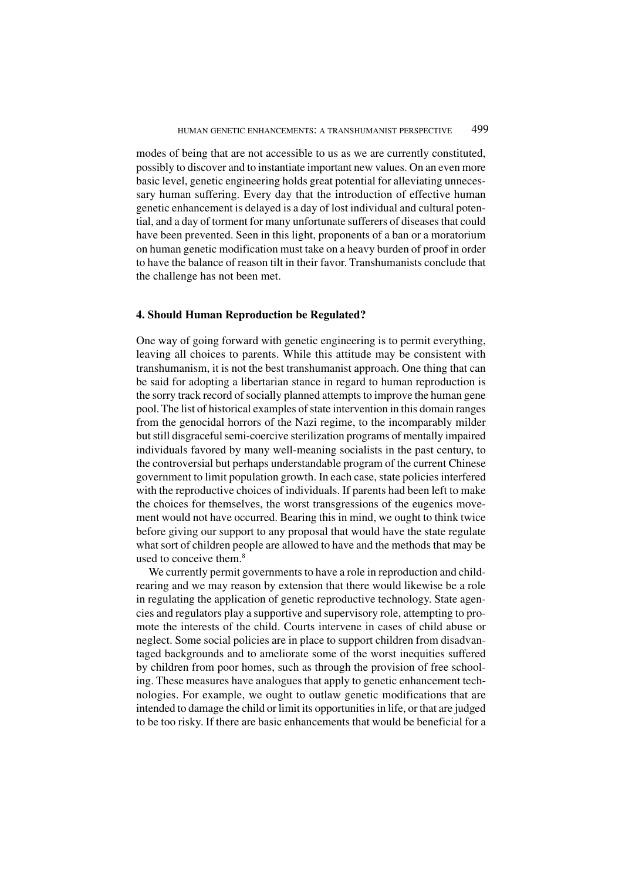modes of being that are not accessible to us as we are currently constituted, possibly to discover and to instantiate important new values. On an even more basic level, genetic engineering holds great potential for alleviating unnecessary human suffering. Every day that the introduction of effective human genetic enhancement is delayed is a day of lost individual and cultural potential, and a day of torment for many unfortunate sufferers of diseases that could have been prevented. Seen in this light, proponents of a ban or a moratorium on human genetic modification must take on a heavy burden of proof in order to have the balance of reason tilt in their favor. Transhumanists conclude that the challenge has not been met.

# **4. Should Human Reproduction be Regulated?**

One way of going forward with genetic engineering is to permit everything, leaving all choices to parents. While this attitude may be consistent with transhumanism, it is not the best transhumanist approach. One thing that can be said for adopting a libertarian stance in regard to human reproduction is the sorry track record of socially planned attempts to improve the human gene pool. The list of historical examples of state intervention in this domain ranges from the genocidal horrors of the Nazi regime, to the incomparably milder but still disgraceful semi-coercive sterilization programs of mentally impaired individuals favored by many well-meaning socialists in the past century, to the controversial but perhaps understandable program of the current Chinese government to limit population growth. In each case, state policies interfered with the reproductive choices of individuals. If parents had been left to make the choices for themselves, the worst transgressions of the eugenics movement would not have occurred. Bearing this in mind, we ought to think twice before giving our support to any proposal that would have the state regulate what sort of children people are allowed to have and the methods that may be used to conceive them.<sup>8</sup>

We currently permit governments to have a role in reproduction and childrearing and we may reason by extension that there would likewise be a role in regulating the application of genetic reproductive technology. State agencies and regulators play a supportive and supervisory role, attempting to promote the interests of the child. Courts intervene in cases of child abuse or neglect. Some social policies are in place to support children from disadvantaged backgrounds and to ameliorate some of the worst inequities suffered by children from poor homes, such as through the provision of free schooling. These measures have analogues that apply to genetic enhancement technologies. For example, we ought to outlaw genetic modifications that are intended to damage the child or limit its opportunities in life, or that are judged to be too risky. If there are basic enhancements that would be beneficial for a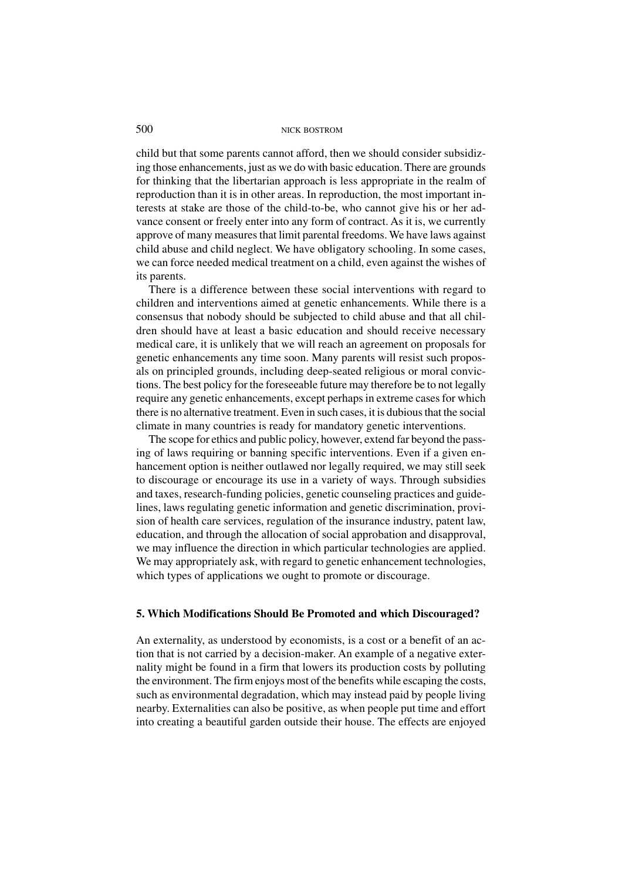child but that some parents cannot afford, then we should consider subsidizing those enhancements, just as we do with basic education. There are grounds for thinking that the libertarian approach is less appropriate in the realm of reproduction than it is in other areas. In reproduction, the most important interests at stake are those of the child-to-be, who cannot give his or her advance consent or freely enter into any form of contract. As it is, we currently approve of many measures that limit parental freedoms. We have laws against child abuse and child neglect. We have obligatory schooling. In some cases, we can force needed medical treatment on a child, even against the wishes of its parents.

There is a difference between these social interventions with regard to children and interventions aimed at genetic enhancements. While there is a consensus that nobody should be subjected to child abuse and that all children should have at least a basic education and should receive necessary medical care, it is unlikely that we will reach an agreement on proposals for genetic enhancements any time soon. Many parents will resist such proposals on principled grounds, including deep-seated religious or moral convictions. The best policy for the foreseeable future may therefore be to not legally require any genetic enhancements, except perhaps in extreme cases for which there is no alternative treatment. Even in such cases, it is dubious that the social climate in many countries is ready for mandatory genetic interventions.

The scope for ethics and public policy, however, extend far beyond the passing of laws requiring or banning specific interventions. Even if a given enhancement option is neither outlawed nor legally required, we may still seek to discourage or encourage its use in a variety of ways. Through subsidies and taxes, research-funding policies, genetic counseling practices and guidelines, laws regulating genetic information and genetic discrimination, provision of health care services, regulation of the insurance industry, patent law, education, and through the allocation of social approbation and disapproval, we may influence the direction in which particular technologies are applied. We may appropriately ask, with regard to genetic enhancement technologies, which types of applications we ought to promote or discourage.

## **5. Which Modifications Should Be Promoted and which Discouraged?**

An externality, as understood by economists, is a cost or a benefit of an action that is not carried by a decision-maker. An example of a negative externality might be found in a firm that lowers its production costs by polluting the environment. The firm enjoys most of the benefits while escaping the costs, such as environmental degradation, which may instead paid by people living nearby. Externalities can also be positive, as when people put time and effort into creating a beautiful garden outside their house. The effects are enjoyed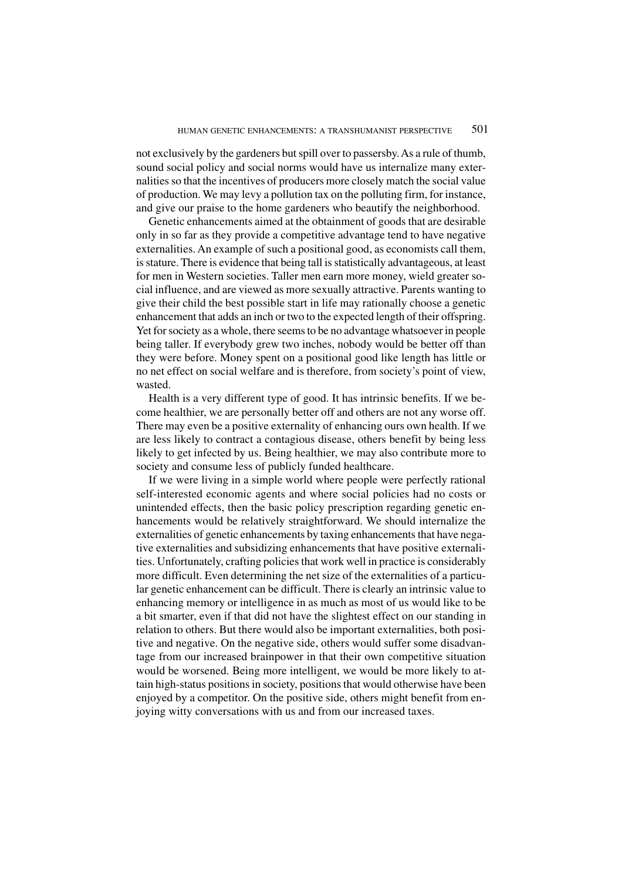not exclusively by the gardeners but spill over to passersby. As a rule of thumb, sound social policy and social norms would have us internalize many externalities so that the incentives of producers more closely match the social value of production. We may levy a pollution tax on the polluting firm, for instance, and give our praise to the home gardeners who beautify the neighborhood.

Genetic enhancements aimed at the obtainment of goods that are desirable only in so far as they provide a competitive advantage tend to have negative externalities. An example of such a positional good, as economists call them, is stature. There is evidence that being tall is statistically advantageous, at least for men in Western societies. Taller men earn more money, wield greater social influence, and are viewed as more sexually attractive. Parents wanting to give their child the best possible start in life may rationally choose a genetic enhancement that adds an inch or two to the expected length of their offspring. Yet for society as a whole, there seems to be no advantage whatsoever in people being taller. If everybody grew two inches, nobody would be better off than they were before. Money spent on a positional good like length has little or no net effect on social welfare and is therefore, from society's point of view, wasted.

Health is a very different type of good. It has intrinsic benefits. If we become healthier, we are personally better off and others are not any worse off. There may even be a positive externality of enhancing ours own health. If we are less likely to contract a contagious disease, others benefit by being less likely to get infected by us. Being healthier, we may also contribute more to society and consume less of publicly funded healthcare.

If we were living in a simple world where people were perfectly rational self-interested economic agents and where social policies had no costs or unintended effects, then the basic policy prescription regarding genetic enhancements would be relatively straightforward. We should internalize the externalities of genetic enhancements by taxing enhancements that have negative externalities and subsidizing enhancements that have positive externalities. Unfortunately, crafting policies that work well in practice is considerably more difficult. Even determining the net size of the externalities of a particular genetic enhancement can be difficult. There is clearly an intrinsic value to enhancing memory or intelligence in as much as most of us would like to be a bit smarter, even if that did not have the slightest effect on our standing in relation to others. But there would also be important externalities, both positive and negative. On the negative side, others would suffer some disadvantage from our increased brainpower in that their own competitive situation would be worsened. Being more intelligent, we would be more likely to attain high-status positions in society, positions that would otherwise have been enjoyed by a competitor. On the positive side, others might benefit from enjoying witty conversations with us and from our increased taxes.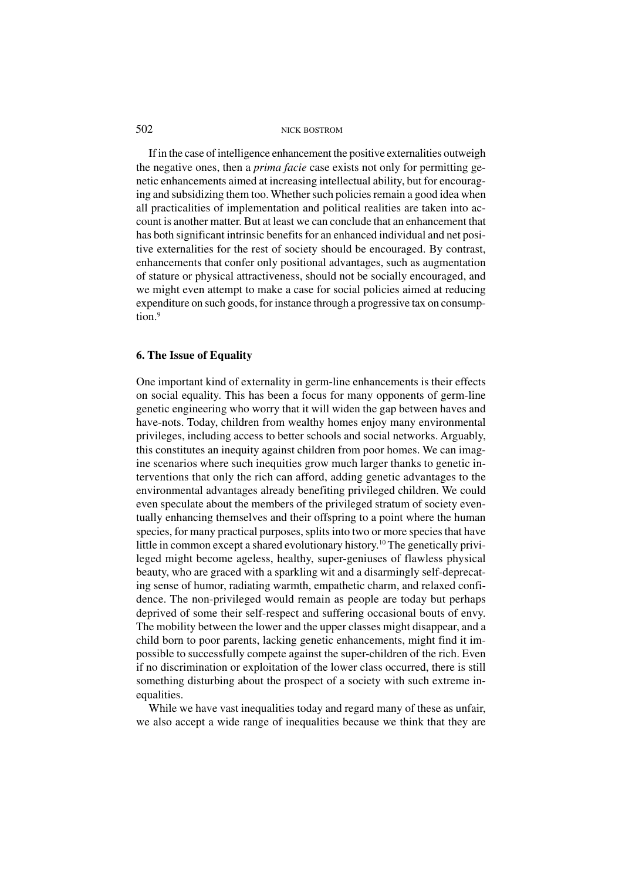If in the case of intelligence enhancement the positive externalities outweigh the negative ones, then a *prima facie* case exists not only for permitting genetic enhancements aimed at increasing intellectual ability, but for encouraging and subsidizing them too. Whether such policies remain a good idea when all practicalities of implementation and political realities are taken into account is another matter. But at least we can conclude that an enhancement that has both significant intrinsic benefits for an enhanced individual and net positive externalities for the rest of society should be encouraged. By contrast, enhancements that confer only positional advantages, such as augmentation of stature or physical attractiveness, should not be socially encouraged, and we might even attempt to make a case for social policies aimed at reducing expenditure on such goods, for instance through a progressive tax on consumption.9

## **6. The Issue of Equality**

One important kind of externality in germ-line enhancements is their effects on social equality. This has been a focus for many opponents of germ-line genetic engineering who worry that it will widen the gap between haves and have-nots. Today, children from wealthy homes enjoy many environmental privileges, including access to better schools and social networks. Arguably, this constitutes an inequity against children from poor homes. We can imagine scenarios where such inequities grow much larger thanks to genetic interventions that only the rich can afford, adding genetic advantages to the environmental advantages already benefiting privileged children. We could even speculate about the members of the privileged stratum of society eventually enhancing themselves and their offspring to a point where the human species, for many practical purposes, splits into two or more species that have little in common except a shared evolutionary history.10 The genetically privileged might become ageless, healthy, super-geniuses of flawless physical beauty, who are graced with a sparkling wit and a disarmingly self-deprecating sense of humor, radiating warmth, empathetic charm, and relaxed confidence. The non-privileged would remain as people are today but perhaps deprived of some their self-respect and suffering occasional bouts of envy. The mobility between the lower and the upper classes might disappear, and a child born to poor parents, lacking genetic enhancements, might find it impossible to successfully compete against the super-children of the rich. Even if no discrimination or exploitation of the lower class occurred, there is still something disturbing about the prospect of a society with such extreme inequalities.

While we have vast inequalities today and regard many of these as unfair, we also accept a wide range of inequalities because we think that they are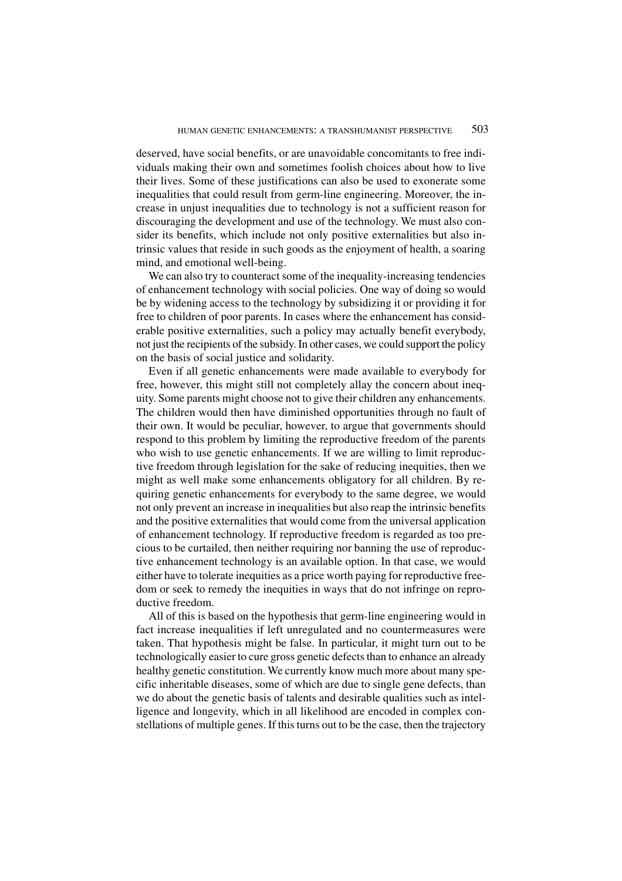deserved, have social benefits, or are unavoidable concomitants to free individuals making their own and sometimes foolish choices about how to live their lives. Some of these justifications can also be used to exonerate some inequalities that could result from germ-line engineering. Moreover, the increase in unjust inequalities due to technology is not a sufficient reason for discouraging the development and use of the technology. We must also consider its benefits, which include not only positive externalities but also intrinsic values that reside in such goods as the enjoyment of health, a soaring mind, and emotional well-being.

We can also try to counteract some of the inequality-increasing tendencies of enhancement technology with social policies. One way of doing so would be by widening access to the technology by subsidizing it or providing it for free to children of poor parents. In cases where the enhancement has considerable positive externalities, such a policy may actually benefit everybody, not just the recipients of the subsidy. In other cases, we could support the policy on the basis of social justice and solidarity.

Even if all genetic enhancements were made available to everybody for free, however, this might still not completely allay the concern about inequity. Some parents might choose not to give their children any enhancements. The children would then have diminished opportunities through no fault of their own. It would be peculiar, however, to argue that governments should respond to this problem by limiting the reproductive freedom of the parents who wish to use genetic enhancements. If we are willing to limit reproductive freedom through legislation for the sake of reducing inequities, then we might as well make some enhancements obligatory for all children. By requiring genetic enhancements for everybody to the same degree, we would not only prevent an increase in inequalities but also reap the intrinsic benefits and the positive externalities that would come from the universal application of enhancement technology. If reproductive freedom is regarded as too precious to be curtailed, then neither requiring nor banning the use of reproductive enhancement technology is an available option. In that case, we would either have to tolerate inequities as a price worth paying for reproductive freedom or seek to remedy the inequities in ways that do not infringe on reproductive freedom.

All of this is based on the hypothesis that germ-line engineering would in fact increase inequalities if left unregulated and no countermeasures were taken. That hypothesis might be false. In particular, it might turn out to be technologically easier to cure gross genetic defects than to enhance an already healthy genetic constitution. We currently know much more about many specific inheritable diseases, some of which are due to single gene defects, than we do about the genetic basis of talents and desirable qualities such as intelligence and longevity, which in all likelihood are encoded in complex constellations of multiple genes. If this turns out to be the case, then the trajectory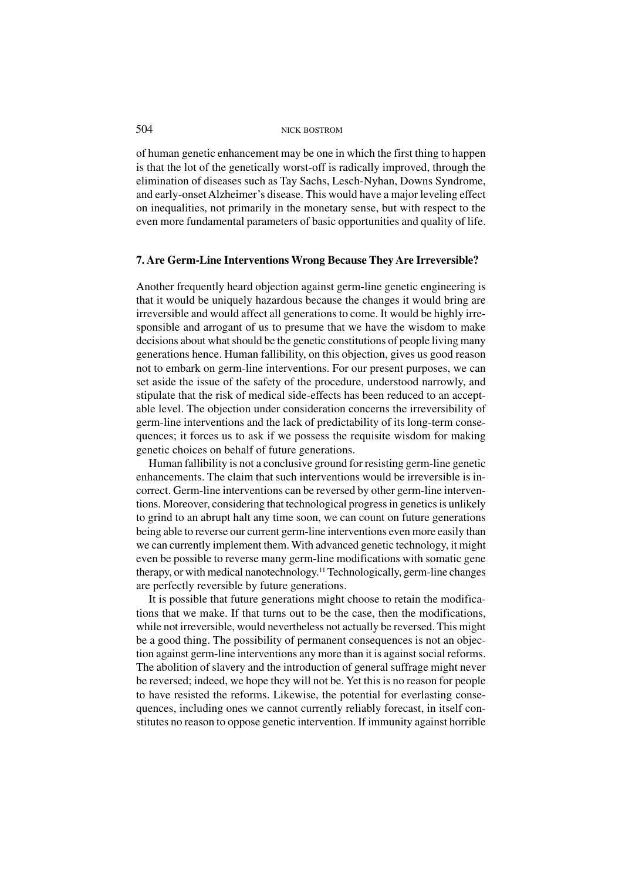of human genetic enhancement may be one in which the first thing to happen is that the lot of the genetically worst-off is radically improved, through the elimination of diseases such as Tay Sachs, Lesch-Nyhan, Downs Syndrome, and early-onset Alzheimer's disease. This would have a major leveling effect on inequalities, not primarily in the monetary sense, but with respect to the even more fundamental parameters of basic opportunities and quality of life.

## **7. Are Germ-Line Interventions Wrong Because They Are Irreversible?**

Another frequently heard objection against germ-line genetic engineering is that it would be uniquely hazardous because the changes it would bring are irreversible and would affect all generations to come. It would be highly irresponsible and arrogant of us to presume that we have the wisdom to make decisions about what should be the genetic constitutions of people living many generations hence. Human fallibility, on this objection, gives us good reason not to embark on germ-line interventions. For our present purposes, we can set aside the issue of the safety of the procedure, understood narrowly, and stipulate that the risk of medical side-effects has been reduced to an acceptable level. The objection under consideration concerns the irreversibility of germ-line interventions and the lack of predictability of its long-term consequences; it forces us to ask if we possess the requisite wisdom for making genetic choices on behalf of future generations.

Human fallibility is not a conclusive ground for resisting germ-line genetic enhancements. The claim that such interventions would be irreversible is incorrect. Germ-line interventions can be reversed by other germ-line interventions. Moreover, considering that technological progress in genetics is unlikely to grind to an abrupt halt any time soon, we can count on future generations being able to reverse our current germ-line interventions even more easily than we can currently implement them. With advanced genetic technology, it might even be possible to reverse many germ-line modifications with somatic gene therapy, or with medical nanotechnology.11 Technologically, germ-line changes are perfectly reversible by future generations.

It is possible that future generations might choose to retain the modifications that we make. If that turns out to be the case, then the modifications, while not irreversible, would nevertheless not actually be reversed. This might be a good thing. The possibility of permanent consequences is not an objection against germ-line interventions any more than it is against social reforms. The abolition of slavery and the introduction of general suffrage might never be reversed; indeed, we hope they will not be. Yet this is no reason for people to have resisted the reforms. Likewise, the potential for everlasting consequences, including ones we cannot currently reliably forecast, in itself constitutes no reason to oppose genetic intervention. If immunity against horrible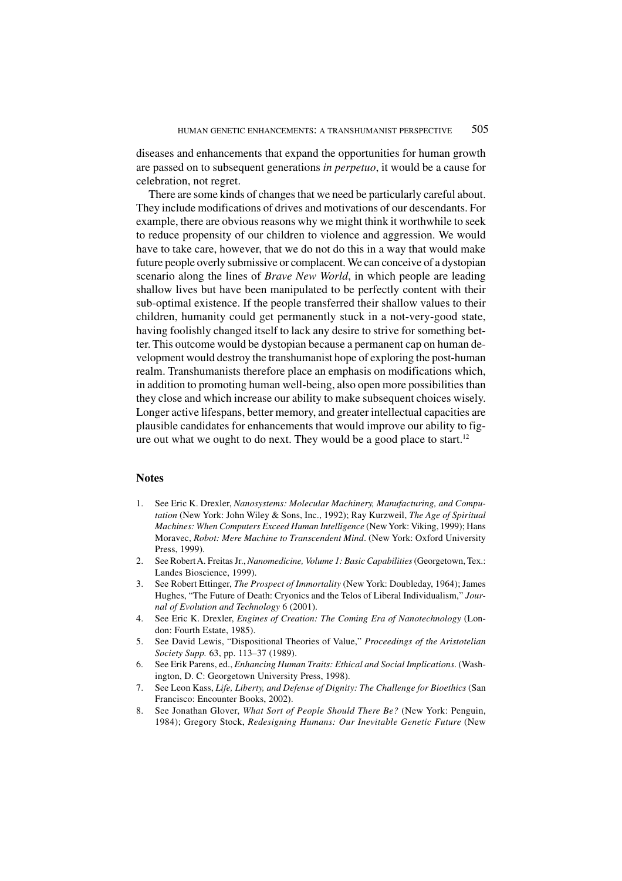diseases and enhancements that expand the opportunities for human growth are passed on to subsequent generations *in perpetuo*, it would be a cause for celebration, not regret.

There are some kinds of changes that we need be particularly careful about. They include modifications of drives and motivations of our descendants. For example, there are obvious reasons why we might think it worthwhile to seek to reduce propensity of our children to violence and aggression. We would have to take care, however, that we do not do this in a way that would make future people overly submissive or complacent. We can conceive of a dystopian scenario along the lines of *Brave New World*, in which people are leading shallow lives but have been manipulated to be perfectly content with their sub-optimal existence. If the people transferred their shallow values to their children, humanity could get permanently stuck in a not-very-good state, having foolishly changed itself to lack any desire to strive for something better. This outcome would be dystopian because a permanent cap on human development would destroy the transhumanist hope of exploring the post-human realm. Transhumanists therefore place an emphasis on modifications which, in addition to promoting human well-being, also open more possibilities than they close and which increase our ability to make subsequent choices wisely. Longer active lifespans, better memory, and greater intellectual capacities are plausible candidates for enhancements that would improve our ability to figure out what we ought to do next. They would be a good place to start.12

# **Notes**

- 1. See Eric K. Drexler, *Nanosystems: Molecular Machinery, Manufacturing, and Computation* (New York: John Wiley & Sons, Inc., 1992); Ray Kurzweil, *The Age of Spiritual Machines: When Computers Exceed Human Intelligence* (New York: Viking, 1999); Hans Moravec, *Robot: Mere Machine to Transcendent Mind*. (New York: Oxford University Press, 1999).
- 2. See Robert A. Freitas Jr., *Nanomedicine, Volume 1: Basic Capabilities* (Georgetown, Tex.: Landes Bioscience, 1999).
- 3. See Robert Ettinger, *The Prospect of Immortality* (New York: Doubleday, 1964); James Hughes, "The Future of Death: Cryonics and the Telos of Liberal Individualism," *Journal of Evolution and Technology* 6 (2001).
- 4. See Eric K. Drexler, *Engines of Creation: The Coming Era of Nanotechnology* (London: Fourth Estate, 1985).
- 5. See David Lewis, "Dispositional Theories of Value," *Proceedings of the Aristotelian Society Supp.* 63, pp. 113–37 (1989).
- 6. See Erik Parens, ed., *Enhancing Human Traits: Ethical and Social Implications*. (Washington, D. C: Georgetown University Press, 1998).
- 7. See Leon Kass, *Life, Liberty, and Defense of Dignity: The Challenge for Bioethics* (San Francisco: Encounter Books, 2002).
- 8. See Jonathan Glover, *What Sort of People Should There Be?* (New York: Penguin, 1984); Gregory Stock, *Redesigning Humans: Our Inevitable Genetic Future* (New